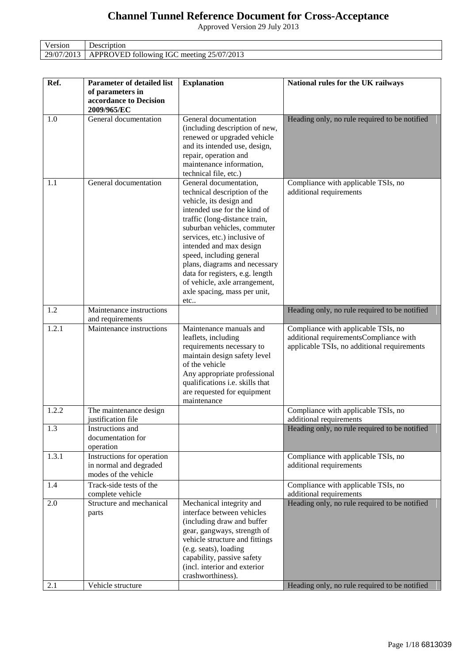## **Channel Tunnel Reference Document for Cross-Acceptance**

Approved Version 29 July 2013

| Version    | Description                                      |
|------------|--------------------------------------------------|
| 29/07/2013 | 7/2013<br>APPROVED following IGC meeting 25/07/2 |

| Ref.       | Parameter of detailed list                                                   | <b>Explanation</b>                                                                                                                                                                                                                                                                                                                                                                                                   | National rules for the UK railways                                                                                           |
|------------|------------------------------------------------------------------------------|----------------------------------------------------------------------------------------------------------------------------------------------------------------------------------------------------------------------------------------------------------------------------------------------------------------------------------------------------------------------------------------------------------------------|------------------------------------------------------------------------------------------------------------------------------|
|            | of parameters in<br>accordance to Decision<br>2009/965/EC                    |                                                                                                                                                                                                                                                                                                                                                                                                                      |                                                                                                                              |
| 1.0        | General documentation                                                        | General documentation<br>(including description of new,<br>renewed or upgraded vehicle<br>and its intended use, design,<br>repair, operation and<br>maintenance information,<br>technical file, etc.)                                                                                                                                                                                                                | Heading only, no rule required to be notified                                                                                |
| 1.1        | General documentation                                                        | General documentation,<br>technical description of the<br>vehicle, its design and<br>intended use for the kind of<br>traffic (long-distance train,<br>suburban vehicles, commuter<br>services, etc.) inclusive of<br>intended and max design<br>speed, including general<br>plans, diagrams and necessary<br>data for registers, e.g. length<br>of vehicle, axle arrangement,<br>axle spacing, mass per unit,<br>etc | Compliance with applicable TSIs, no<br>additional requirements                                                               |
| 1.2        | Maintenance instructions<br>and requirements                                 |                                                                                                                                                                                                                                                                                                                                                                                                                      | Heading only, no rule required to be notified                                                                                |
| 1.2.1      | Maintenance instructions                                                     | Maintenance manuals and<br>leaflets, including<br>requirements necessary to<br>maintain design safety level<br>of the vehicle<br>Any appropriate professional<br>qualifications i.e. skills that<br>are requested for equipment<br>maintenance                                                                                                                                                                       | Compliance with applicable TSIs, no<br>additional requirementsCompliance with<br>applicable TSIs, no additional requirements |
| 1.2.2      | The maintenance design<br>justification file                                 |                                                                                                                                                                                                                                                                                                                                                                                                                      | Compliance with applicable TSIs, no<br>additional requirements                                                               |
| 1.3        | Instructions and<br>documentation for<br>operation                           |                                                                                                                                                                                                                                                                                                                                                                                                                      | Heading only, no rule required to be notified                                                                                |
| 1.3.1      | Instructions for operation<br>in normal and degraded<br>modes of the vehicle |                                                                                                                                                                                                                                                                                                                                                                                                                      | Compliance with applicable TSIs, no<br>additional requirements                                                               |
| 1.4        | Track-side tests of the<br>complete vehicle                                  |                                                                                                                                                                                                                                                                                                                                                                                                                      | Compliance with applicable TSIs, no<br>additional requirements                                                               |
| 2.0<br>2.1 | Structure and mechanical<br>parts<br>Vehicle structure                       | Mechanical integrity and<br>interface between vehicles<br>(including draw and buffer<br>gear, gangways, strength of<br>vehicle structure and fittings<br>(e.g. seats), loading<br>capability, passive safety<br>(incl. interior and exterior<br>crashworthiness).                                                                                                                                                    | Heading only, no rule required to be notified<br>Heading only, no rule required to be notified                               |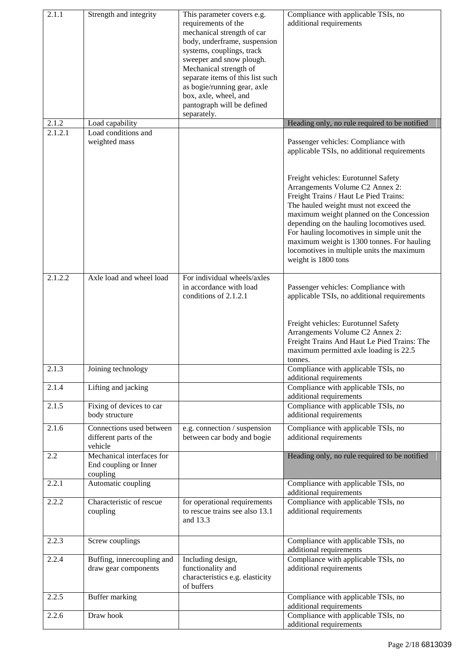| 2.1.1   | Strength and integrity                                         | This parameter covers e.g.<br>requirements of the<br>mechanical strength of car<br>body, underframe, suspension<br>systems, couplings, track<br>sweeper and snow plough.<br>Mechanical strength of<br>separate items of this list such<br>as bogie/running gear, axle<br>box, axle, wheel, and<br>pantograph will be defined | Compliance with applicable TSIs, no<br>additional requirements                                                                                                                                                                                                                                                                                                              |
|---------|----------------------------------------------------------------|------------------------------------------------------------------------------------------------------------------------------------------------------------------------------------------------------------------------------------------------------------------------------------------------------------------------------|-----------------------------------------------------------------------------------------------------------------------------------------------------------------------------------------------------------------------------------------------------------------------------------------------------------------------------------------------------------------------------|
| 2.1.2   | Load capability                                                | separately.                                                                                                                                                                                                                                                                                                                  | Heading only, no rule required to be notified                                                                                                                                                                                                                                                                                                                               |
| 2.1.2.1 | Load conditions and<br>weighted mass                           |                                                                                                                                                                                                                                                                                                                              | Passenger vehicles: Compliance with<br>applicable TSIs, no additional requirements<br>Freight vehicles: Eurotunnel Safety                                                                                                                                                                                                                                                   |
|         |                                                                |                                                                                                                                                                                                                                                                                                                              | Arrangements Volume C2 Annex 2:<br>Freight Trains / Haut Le Pied Trains:<br>The hauled weight must not exceed the<br>maximum weight planned on the Concession<br>depending on the hauling locomotives used.<br>For hauling locomotives in simple unit the<br>maximum weight is 1300 tonnes. For hauling<br>locomotives in multiple units the maximum<br>weight is 1800 tons |
| 2.1.2.2 | Axle load and wheel load                                       | For individual wheels/axles<br>in accordance with load<br>conditions of 2.1.2.1                                                                                                                                                                                                                                              | Passenger vehicles: Compliance with<br>applicable TSIs, no additional requirements<br>Freight vehicles: Eurotunnel Safety<br>Arrangements Volume C2 Annex 2:<br>Freight Trains And Haut Le Pied Trains: The<br>maximum permitted axle loading is 22.5<br>tonnes.                                                                                                            |
| 2.1.3   | Joining technology                                             |                                                                                                                                                                                                                                                                                                                              | Compliance with applicable TSIs, no<br>additional requirements                                                                                                                                                                                                                                                                                                              |
| 2.1.4   | Lifting and jacking                                            |                                                                                                                                                                                                                                                                                                                              | Compliance with applicable TSIs, no<br>additional requirements                                                                                                                                                                                                                                                                                                              |
| 2.1.5   | Fixing of devices to car<br>body structure                     |                                                                                                                                                                                                                                                                                                                              | Compliance with applicable TSIs, no<br>additional requirements                                                                                                                                                                                                                                                                                                              |
| 2.1.6   | Connections used between<br>different parts of the<br>vehicle  | e.g. connection / suspension<br>between car body and bogie                                                                                                                                                                                                                                                                   | Compliance with applicable TSIs, no<br>additional requirements                                                                                                                                                                                                                                                                                                              |
| 2.2     | Mechanical interfaces for<br>End coupling or Inner<br>coupling |                                                                                                                                                                                                                                                                                                                              | Heading only, no rule required to be notified                                                                                                                                                                                                                                                                                                                               |
| 2.2.1   | Automatic coupling                                             |                                                                                                                                                                                                                                                                                                                              | Compliance with applicable TSIs, no<br>additional requirements                                                                                                                                                                                                                                                                                                              |
| 2.2.2   | Characteristic of rescue<br>coupling                           | for operational requirements<br>to rescue trains see also 13.1<br>and 13.3                                                                                                                                                                                                                                                   | Compliance with applicable TSIs, no<br>additional requirements                                                                                                                                                                                                                                                                                                              |
| 2.2.3   | Screw couplings                                                |                                                                                                                                                                                                                                                                                                                              | Compliance with applicable TSIs, no<br>additional requirements                                                                                                                                                                                                                                                                                                              |
| 2.2.4   | Buffing, innercoupling and<br>draw gear components             | Including design,<br>functionality and<br>characteristics e.g. elasticity<br>of buffers                                                                                                                                                                                                                                      | Compliance with applicable TSIs, no<br>additional requirements                                                                                                                                                                                                                                                                                                              |
| 2.2.5   | Buffer marking                                                 |                                                                                                                                                                                                                                                                                                                              | Compliance with applicable TSIs, no<br>additional requirements                                                                                                                                                                                                                                                                                                              |
| 2.2.6   | Draw hook                                                      |                                                                                                                                                                                                                                                                                                                              | Compliance with applicable TSIs, no<br>additional requirements                                                                                                                                                                                                                                                                                                              |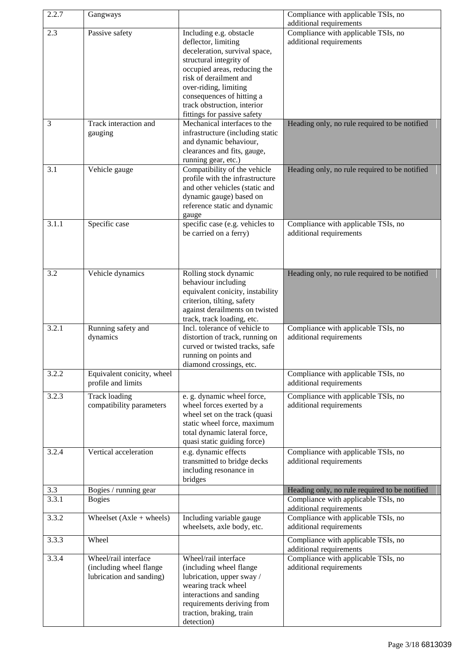| 2.2.7 | Gangways                                                                    |                                                                                                                                                                                                                                                                                          | Compliance with applicable TSIs, no<br>additional requirements |
|-------|-----------------------------------------------------------------------------|------------------------------------------------------------------------------------------------------------------------------------------------------------------------------------------------------------------------------------------------------------------------------------------|----------------------------------------------------------------|
| 2.3   | Passive safety                                                              | Including e.g. obstacle<br>deflector, limiting<br>deceleration, survival space,<br>structural integrity of<br>occupied areas, reducing the<br>risk of derailment and<br>over-riding, limiting<br>consequences of hitting a<br>track obstruction, interior<br>fittings for passive safety | Compliance with applicable TSIs, no<br>additional requirements |
| 3     | Track interaction and<br>gauging                                            | Mechanical interfaces to the<br>infrastructure (including static<br>and dynamic behaviour,<br>clearances and fits, gauge,<br>running gear, etc.)                                                                                                                                         | Heading only, no rule required to be notified                  |
| 3.1   | Vehicle gauge                                                               | Compatibility of the vehicle<br>profile with the infrastructure<br>and other vehicles (static and<br>dynamic gauge) based on<br>reference static and dynamic<br>gauge                                                                                                                    | Heading only, no rule required to be notified                  |
| 3.1.1 | Specific case                                                               | specific case (e.g. vehicles to<br>be carried on a ferry)                                                                                                                                                                                                                                | Compliance with applicable TSIs, no<br>additional requirements |
| 3.2   | Vehicle dynamics                                                            | Rolling stock dynamic<br>behaviour including<br>equivalent conicity, instability<br>criterion, tilting, safety<br>against derailments on twisted<br>track, track loading, etc.                                                                                                           | Heading only, no rule required to be notified                  |
| 3.2.1 | Running safety and<br>dynamics                                              | Incl. tolerance of vehicle to<br>distortion of track, running on<br>curved or twisted tracks, safe<br>running on points and<br>diamond crossings, etc.                                                                                                                                   | Compliance with applicable TSIs, no<br>additional requirements |
| 3.2.2 | Equivalent conicity, wheel<br>profile and limits                            |                                                                                                                                                                                                                                                                                          | Compliance with applicable TSIs, no<br>additional requirements |
| 3.2.3 | <b>Track loading</b><br>compatibility parameters                            | e. g. dynamic wheel force,<br>wheel forces exerted by a<br>wheel set on the track (quasi<br>static wheel force, maximum<br>total dynamic lateral force,<br>quasi static guiding force)                                                                                                   | Compliance with applicable TSIs, no<br>additional requirements |
| 3.2.4 | Vertical acceleration                                                       | e.g. dynamic effects<br>transmitted to bridge decks<br>including resonance in<br>bridges                                                                                                                                                                                                 | Compliance with applicable TSIs, no<br>additional requirements |
| 3.3   | Bogies / running gear                                                       |                                                                                                                                                                                                                                                                                          | Heading only, no rule required to be notified                  |
| 3.3.1 | <b>Bogies</b>                                                               |                                                                                                                                                                                                                                                                                          | Compliance with applicable TSIs, no<br>additional requirements |
| 3.3.2 | Wheelset $(Axle + wheels)$                                                  | Including variable gauge<br>wheelsets, axle body, etc.                                                                                                                                                                                                                                   | Compliance with applicable TSIs, no<br>additional requirements |
| 3.3.3 | Wheel                                                                       |                                                                                                                                                                                                                                                                                          | Compliance with applicable TSIs, no<br>additional requirements |
| 3.3.4 | Wheel/rail interface<br>(including wheel flange<br>lubrication and sanding) | Wheel/rail interface<br>(including wheel flange<br>lubrication, upper sway /<br>wearing track wheel<br>interactions and sanding<br>requirements deriving from<br>traction, braking, train<br>detection)                                                                                  | Compliance with applicable TSIs, no<br>additional requirements |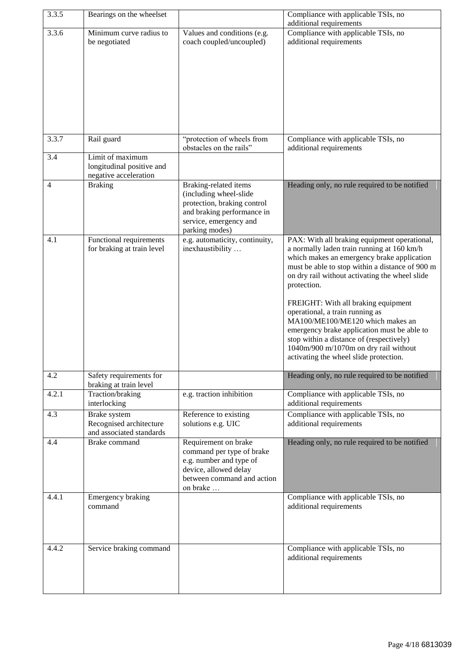| 3.3.5          | Bearings on the wheelset                                               |                                                                                                                                                          | Compliance with applicable TSIs, no<br>additional requirements                                                                                                                                                                                                                                                                                                                                                                                                                                                                                           |
|----------------|------------------------------------------------------------------------|----------------------------------------------------------------------------------------------------------------------------------------------------------|----------------------------------------------------------------------------------------------------------------------------------------------------------------------------------------------------------------------------------------------------------------------------------------------------------------------------------------------------------------------------------------------------------------------------------------------------------------------------------------------------------------------------------------------------------|
| 3.3.6          | Minimum curve radius to                                                | Values and conditions (e.g.                                                                                                                              | Compliance with applicable TSIs, no                                                                                                                                                                                                                                                                                                                                                                                                                                                                                                                      |
|                | be negotiated                                                          | coach coupled/uncoupled)                                                                                                                                 | additional requirements                                                                                                                                                                                                                                                                                                                                                                                                                                                                                                                                  |
|                |                                                                        |                                                                                                                                                          |                                                                                                                                                                                                                                                                                                                                                                                                                                                                                                                                                          |
| 3.3.7          | Rail guard                                                             | "protection of wheels from<br>obstacles on the rails"                                                                                                    | Compliance with applicable TSIs, no<br>additional requirements                                                                                                                                                                                                                                                                                                                                                                                                                                                                                           |
| 3.4            | Limit of maximum<br>longitudinal positive and<br>negative acceleration |                                                                                                                                                          |                                                                                                                                                                                                                                                                                                                                                                                                                                                                                                                                                          |
| $\overline{4}$ | <b>Braking</b>                                                         | Braking-related items<br>(including wheel-slide<br>protection, braking control<br>and braking performance in<br>service, emergency and<br>parking modes) | Heading only, no rule required to be notified                                                                                                                                                                                                                                                                                                                                                                                                                                                                                                            |
| 4.1            | Functional requirements<br>for braking at train level                  | e.g. automaticity, continuity,<br>inexhaustibility                                                                                                       | PAX: With all braking equipment operational,<br>a normally laden train running at 160 km/h<br>which makes an emergency brake application<br>must be able to stop within a distance of 900 m<br>on dry rail without activating the wheel slide<br>protection.<br>FREIGHT: With all braking equipment<br>operational, a train running as<br>MA100/ME100/ME120 which makes an<br>emergency brake application must be able to<br>stop within a distance of (respectively)<br>1040m/900 m/1070m on dry rail without<br>activating the wheel slide protection. |
| 4.2            | Safety requirements for<br>braking at train level                      |                                                                                                                                                          | Heading only, no rule required to be notified                                                                                                                                                                                                                                                                                                                                                                                                                                                                                                            |
| 4.2.1          | Traction/braking<br>interlocking                                       | e.g. traction inhibition                                                                                                                                 | Compliance with applicable TSIs, no<br>additional requirements                                                                                                                                                                                                                                                                                                                                                                                                                                                                                           |
| 4.3            | Brake system<br>Recognised architecture<br>and associated standards    | Reference to existing<br>solutions e.g. UIC                                                                                                              | Compliance with applicable TSIs, no<br>additional requirements                                                                                                                                                                                                                                                                                                                                                                                                                                                                                           |
| 4.4            | <b>Brake</b> command                                                   | Requirement on brake<br>command per type of brake<br>e.g. number and type of<br>device, allowed delay<br>between command and action<br>on brake          | Heading only, no rule required to be notified                                                                                                                                                                                                                                                                                                                                                                                                                                                                                                            |
| 4.4.1          | Emergency braking<br>command                                           |                                                                                                                                                          | Compliance with applicable TSIs, no<br>additional requirements                                                                                                                                                                                                                                                                                                                                                                                                                                                                                           |
| 4.4.2          | Service braking command                                                |                                                                                                                                                          | Compliance with applicable TSIs, no<br>additional requirements                                                                                                                                                                                                                                                                                                                                                                                                                                                                                           |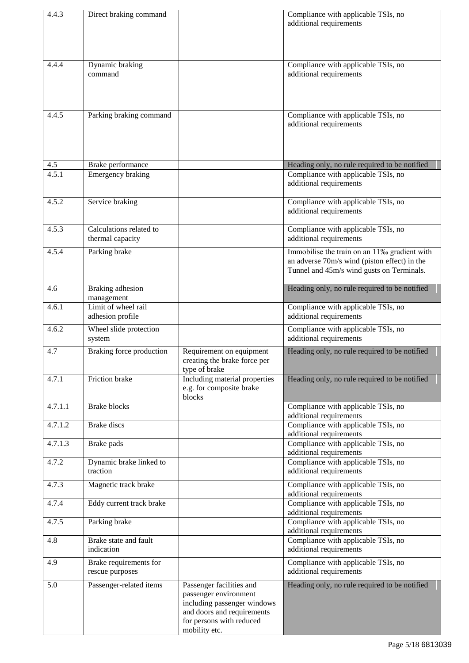| 4.4.3   | Direct braking command                      |                                                                                                                                                             | Compliance with applicable TSIs, no<br>additional requirements                                                                            |
|---------|---------------------------------------------|-------------------------------------------------------------------------------------------------------------------------------------------------------------|-------------------------------------------------------------------------------------------------------------------------------------------|
| 4.4.4   | Dynamic braking<br>command                  |                                                                                                                                                             | Compliance with applicable TSIs, no<br>additional requirements                                                                            |
| 4.4.5   | Parking braking command                     |                                                                                                                                                             | Compliance with applicable TSIs, no<br>additional requirements                                                                            |
| 4.5     | Brake performance                           |                                                                                                                                                             | Heading only, no rule required to be notified                                                                                             |
| 4.5.1   | Emergency braking                           |                                                                                                                                                             | Compliance with applicable TSIs, no<br>additional requirements                                                                            |
| 4.5.2   | Service braking                             |                                                                                                                                                             | Compliance with applicable TSIs, no<br>additional requirements                                                                            |
| 4.5.3   | Calculations related to<br>thermal capacity |                                                                                                                                                             | Compliance with applicable TSIs, no<br>additional requirements                                                                            |
| 4.5.4   | Parking brake                               |                                                                                                                                                             | Immobilise the train on an 11‰ gradient with<br>an adverse 70m/s wind (piston effect) in the<br>Tunnel and 45m/s wind gusts on Terminals. |
| 4.6     | Braking adhesion<br>management              |                                                                                                                                                             | Heading only, no rule required to be notified                                                                                             |
| 4.6.1   | Limit of wheel rail<br>adhesion profile     |                                                                                                                                                             | Compliance with applicable TSIs, no<br>additional requirements                                                                            |
| 4.6.2   | Wheel slide protection<br>system            |                                                                                                                                                             | Compliance with applicable TSIs, no<br>additional requirements                                                                            |
| 4.7     | Braking force production                    | Requirement on equipment<br>creating the brake force per<br>type of brake                                                                                   | Heading only, no rule required to be notified                                                                                             |
| 4.7.1   | Friction brake                              | Including material properties<br>e.g. for composite brake<br>blocks                                                                                         | Heading only, no rule required to be notified                                                                                             |
| 4.7.1.1 | <b>Brake blocks</b>                         |                                                                                                                                                             | Compliance with applicable TSIs, no<br>additional requirements                                                                            |
| 4.7.1.2 | <b>Brake</b> discs                          |                                                                                                                                                             | Compliance with applicable TSIs, no<br>additional requirements                                                                            |
| 4.7.1.3 | Brake pads                                  |                                                                                                                                                             | Compliance with applicable TSIs, no<br>additional requirements                                                                            |
| 4.7.2   | Dynamic brake linked to<br>traction         |                                                                                                                                                             | Compliance with applicable TSIs, no<br>additional requirements                                                                            |
| 4.7.3   | Magnetic track brake                        |                                                                                                                                                             | Compliance with applicable TSIs, no<br>additional requirements                                                                            |
| 4.7.4   | Eddy current track brake                    |                                                                                                                                                             | Compliance with applicable TSIs, no<br>additional requirements                                                                            |
| 4.7.5   | Parking brake                               |                                                                                                                                                             | Compliance with applicable TSIs, no<br>additional requirements                                                                            |
| 4.8     | Brake state and fault<br>indication         |                                                                                                                                                             | Compliance with applicable TSIs, no<br>additional requirements                                                                            |
| 4.9     | Brake requirements for<br>rescue purposes   |                                                                                                                                                             | Compliance with applicable TSIs, no<br>additional requirements                                                                            |
| 5.0     | Passenger-related items                     | Passenger facilities and<br>passenger environment<br>including passenger windows<br>and doors and requirements<br>for persons with reduced<br>mobility etc. | Heading only, no rule required to be notified                                                                                             |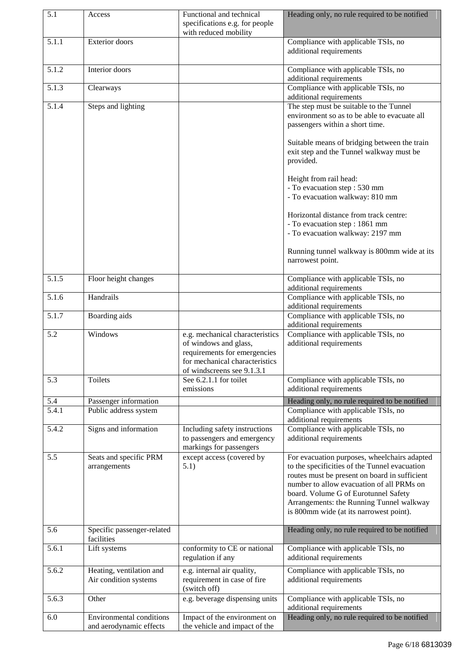| 5.1                | Access                                            | Functional and technical                                                                                                                                 | Heading only, no rule required to be notified                                                                                                                                                                                                                                                                              |
|--------------------|---------------------------------------------------|----------------------------------------------------------------------------------------------------------------------------------------------------------|----------------------------------------------------------------------------------------------------------------------------------------------------------------------------------------------------------------------------------------------------------------------------------------------------------------------------|
|                    |                                                   | specifications e.g. for people<br>with reduced mobility                                                                                                  |                                                                                                                                                                                                                                                                                                                            |
| 5.1.1              | Exterior doors                                    |                                                                                                                                                          | Compliance with applicable TSIs, no<br>additional requirements                                                                                                                                                                                                                                                             |
| 5.1.2              | Interior doors                                    |                                                                                                                                                          | Compliance with applicable TSIs, no<br>additional requirements                                                                                                                                                                                                                                                             |
| 5.1.3              | Clearways                                         |                                                                                                                                                          | Compliance with applicable TSIs, no<br>additional requirements                                                                                                                                                                                                                                                             |
| 5.1.4              | Steps and lighting                                |                                                                                                                                                          | The step must be suitable to the Tunnel<br>environment so as to be able to evacuate all<br>passengers within a short time.                                                                                                                                                                                                 |
|                    |                                                   |                                                                                                                                                          | Suitable means of bridging between the train<br>exit step and the Tunnel walkway must be<br>provided.                                                                                                                                                                                                                      |
|                    |                                                   |                                                                                                                                                          | Height from rail head:                                                                                                                                                                                                                                                                                                     |
|                    |                                                   |                                                                                                                                                          | - To evacuation step: 530 mm<br>- To evacuation walkway: 810 mm                                                                                                                                                                                                                                                            |
|                    |                                                   |                                                                                                                                                          |                                                                                                                                                                                                                                                                                                                            |
|                    |                                                   |                                                                                                                                                          | Horizontal distance from track centre:<br>- To evacuation step: 1861 mm                                                                                                                                                                                                                                                    |
|                    |                                                   |                                                                                                                                                          | - To evacuation walkway: 2197 mm                                                                                                                                                                                                                                                                                           |
|                    |                                                   |                                                                                                                                                          | Running tunnel walkway is 800mm wide at its<br>narrowest point.                                                                                                                                                                                                                                                            |
| 5.1.5              | Floor height changes                              |                                                                                                                                                          | Compliance with applicable TSIs, no<br>additional requirements                                                                                                                                                                                                                                                             |
| 5.1.6              | Handrails                                         |                                                                                                                                                          | Compliance with applicable TSIs, no<br>additional requirements                                                                                                                                                                                                                                                             |
| 5.1.7              | Boarding aids                                     |                                                                                                                                                          | Compliance with applicable TSIs, no<br>additional requirements                                                                                                                                                                                                                                                             |
| 5.2                | Windows                                           | e.g. mechanical characteristics<br>of windows and glass,<br>requirements for emergencies<br>for mechanical characteristics<br>of windscreens see 9.1.3.1 | Compliance with applicable TSIs, no<br>additional requirements                                                                                                                                                                                                                                                             |
| 5.3                | Toilets                                           | See 6.2.1.1 for toilet<br>emissions                                                                                                                      | Compliance with applicable TSIs, no<br>additional requirements                                                                                                                                                                                                                                                             |
| 5.4                | Passenger information                             |                                                                                                                                                          | Heading only, no rule required to be notified                                                                                                                                                                                                                                                                              |
| $\overline{5.4.1}$ | Public address system                             |                                                                                                                                                          | Compliance with applicable TSIs, no<br>additional requirements                                                                                                                                                                                                                                                             |
| 5.4.2              | Signs and information                             | Including safety instructions<br>to passengers and emergency<br>markings for passengers                                                                  | Compliance with applicable TSIs, no<br>additional requirements                                                                                                                                                                                                                                                             |
| 5.5                | Seats and specific PRM<br>arrangements            | except access (covered by<br>5.1)                                                                                                                        | For evacuation purposes, wheelchairs adapted<br>to the specificities of the Tunnel evacuation<br>routes must be present on board in sufficient<br>number to allow evacuation of all PRMs on<br>board. Volume G of Eurotunnel Safety<br>Arrangements: the Running Tunnel walkway<br>is 800mm wide (at its narrowest point). |
| 5.6                | Specific passenger-related<br>facilities          |                                                                                                                                                          | Heading only, no rule required to be notified                                                                                                                                                                                                                                                                              |
| 5.6.1              | Lift systems                                      | conformity to CE or national<br>regulation if any                                                                                                        | Compliance with applicable TSIs, no<br>additional requirements                                                                                                                                                                                                                                                             |
| 5.6.2              | Heating, ventilation and<br>Air condition systems | e.g. internal air quality,<br>requirement in case of fire<br>(switch off)                                                                                | Compliance with applicable TSIs, no<br>additional requirements                                                                                                                                                                                                                                                             |
| 5.6.3              | Other                                             | e.g. beverage dispensing units                                                                                                                           | Compliance with applicable TSIs, no<br>additional requirements                                                                                                                                                                                                                                                             |
| 6.0                | <b>Environmental conditions</b>                   | Impact of the environment on                                                                                                                             | Heading only, no rule required to be notified                                                                                                                                                                                                                                                                              |
|                    | and aerodynamic effects                           | the vehicle and impact of the                                                                                                                            |                                                                                                                                                                                                                                                                                                                            |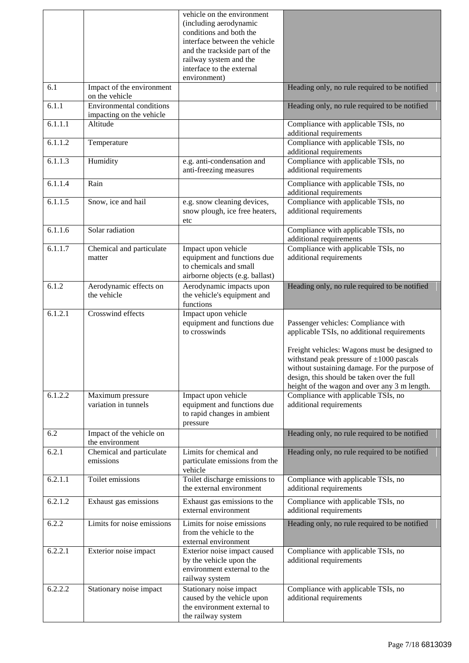|         |                                                             | vehicle on the environment<br>(including aerodynamic<br>conditions and both the<br>interface between the vehicle<br>and the trackside part of the<br>railway system and the<br>interface to the external<br>environment) |                                                                                                                                                                                                                                                                                                                                    |
|---------|-------------------------------------------------------------|--------------------------------------------------------------------------------------------------------------------------------------------------------------------------------------------------------------------------|------------------------------------------------------------------------------------------------------------------------------------------------------------------------------------------------------------------------------------------------------------------------------------------------------------------------------------|
| 6.1     | Impact of the environment<br>on the vehicle                 |                                                                                                                                                                                                                          | Heading only, no rule required to be notified                                                                                                                                                                                                                                                                                      |
| 6.1.1   | <b>Environmental</b> conditions<br>impacting on the vehicle |                                                                                                                                                                                                                          | Heading only, no rule required to be notified                                                                                                                                                                                                                                                                                      |
| 6.1.1.1 | Altitude                                                    |                                                                                                                                                                                                                          | Compliance with applicable TSIs, no<br>additional requirements                                                                                                                                                                                                                                                                     |
| 6.1.1.2 | Temperature                                                 |                                                                                                                                                                                                                          | Compliance with applicable TSIs, no<br>additional requirements                                                                                                                                                                                                                                                                     |
| 6.1.1.3 | Humidity                                                    | e.g. anti-condensation and<br>anti-freezing measures                                                                                                                                                                     | Compliance with applicable TSIs, no<br>additional requirements                                                                                                                                                                                                                                                                     |
| 6.1.1.4 | Rain                                                        |                                                                                                                                                                                                                          | Compliance with applicable TSIs, no<br>additional requirements                                                                                                                                                                                                                                                                     |
| 6.1.1.5 | Snow, ice and hail                                          | e.g. snow cleaning devices,<br>snow plough, ice free heaters,<br>etc                                                                                                                                                     | Compliance with applicable TSIs, no<br>additional requirements                                                                                                                                                                                                                                                                     |
| 6.1.1.6 | Solar radiation                                             |                                                                                                                                                                                                                          | Compliance with applicable TSIs, no<br>additional requirements                                                                                                                                                                                                                                                                     |
| 6.1.1.7 | Chemical and particulate<br>matter                          | Impact upon vehicle<br>equipment and functions due<br>to chemicals and small<br>airborne objects (e.g. ballast)                                                                                                          | Compliance with applicable TSIs, no<br>additional requirements                                                                                                                                                                                                                                                                     |
| 6.1.2   | Aerodynamic effects on<br>the vehicle                       | Aerodynamic impacts upon<br>the vehicle's equipment and<br>functions                                                                                                                                                     | Heading only, no rule required to be notified                                                                                                                                                                                                                                                                                      |
| 6.1.2.1 | Crosswind effects                                           | Impact upon vehicle<br>equipment and functions due<br>to crosswinds                                                                                                                                                      | Passenger vehicles: Compliance with<br>applicable TSIs, no additional requirements<br>Freight vehicles: Wagons must be designed to<br>withstand peak pressure of $\pm 1000$ pascals<br>without sustaining damage. For the purpose of<br>design, this should be taken over the full<br>height of the wagon and over any 3 m length. |
| 6.1.2.2 | Maximum pressure<br>variation in tunnels                    | Impact upon vehicle<br>equipment and functions due<br>to rapid changes in ambient<br>pressure                                                                                                                            | Compliance with applicable TSIs, no<br>additional requirements                                                                                                                                                                                                                                                                     |
| 6.2     | Impact of the vehicle on<br>the environment                 |                                                                                                                                                                                                                          | Heading only, no rule required to be notified                                                                                                                                                                                                                                                                                      |
| 6.2.1   | Chemical and particulate<br>emissions                       | Limits for chemical and<br>particulate emissions from the<br>vehicle                                                                                                                                                     | Heading only, no rule required to be notified                                                                                                                                                                                                                                                                                      |
| 6.2.1.1 | Toilet emissions                                            | Toilet discharge emissions to<br>the external environment                                                                                                                                                                | Compliance with applicable TSIs, no<br>additional requirements                                                                                                                                                                                                                                                                     |
| 6.2.1.2 | Exhaust gas emissions                                       | Exhaust gas emissions to the<br>external environment                                                                                                                                                                     | Compliance with applicable TSIs, no<br>additional requirements                                                                                                                                                                                                                                                                     |
| 6.2.2   | Limits for noise emissions                                  | Limits for noise emissions<br>from the vehicle to the<br>external environment                                                                                                                                            | Heading only, no rule required to be notified                                                                                                                                                                                                                                                                                      |
| 6.2.2.1 | Exterior noise impact                                       | Exterior noise impact caused<br>by the vehicle upon the<br>environment external to the<br>railway system                                                                                                                 | Compliance with applicable TSIs, no<br>additional requirements                                                                                                                                                                                                                                                                     |
| 6.2.2.2 | Stationary noise impact                                     | Stationary noise impact<br>caused by the vehicle upon<br>the environment external to<br>the railway system                                                                                                               | Compliance with applicable TSIs, no<br>additional requirements                                                                                                                                                                                                                                                                     |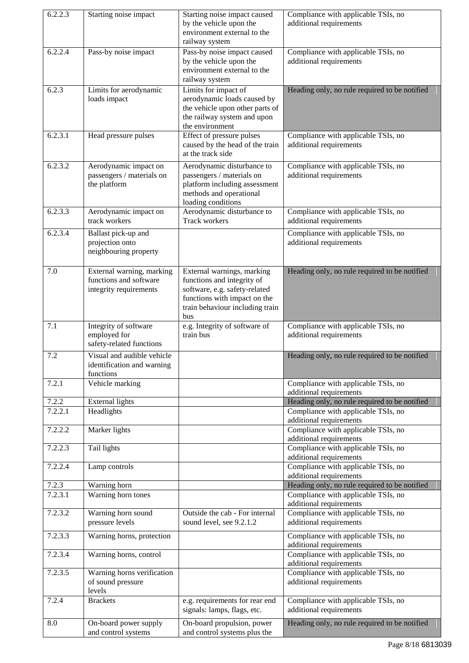| 6.2.2.3          | Starting noise impact                                                         | Starting noise impact caused<br>by the vehicle upon the<br>environment external to the<br>railway system                                                            | Compliance with applicable TSIs, no<br>additional requirements                       |
|------------------|-------------------------------------------------------------------------------|---------------------------------------------------------------------------------------------------------------------------------------------------------------------|--------------------------------------------------------------------------------------|
| 6.2.2.4          | Pass-by noise impact                                                          | Pass-by noise impact caused<br>by the vehicle upon the<br>environment external to the<br>railway system                                                             | Compliance with applicable TSIs, no<br>additional requirements                       |
| 6.2.3            | Limits for aerodynamic<br>loads impact                                        | Limits for impact of<br>aerodynamic loads caused by<br>the vehicle upon other parts of<br>the railway system and upon<br>the environment                            | Heading only, no rule required to be notified                                        |
| 6.2.3.1          | Head pressure pulses                                                          | Effect of pressure pulses<br>caused by the head of the train<br>at the track side                                                                                   | Compliance with applicable TSIs, no<br>additional requirements                       |
| 6.2.3.2          | Aerodynamic impact on<br>passengers / materials on<br>the platform            | Aerodynamic disturbance to<br>passengers / materials on<br>platform including assessment<br>methods and operational<br>loading conditions                           | Compliance with applicable TSIs, no<br>additional requirements                       |
| 6.2.3.3          | Aerodynamic impact on<br>track workers                                        | Aerodynamic disturbance to<br>Track workers                                                                                                                         | Compliance with applicable TSIs, no<br>additional requirements                       |
| 6.2.3.4          | Ballast pick-up and<br>projection onto<br>neighbouring property               |                                                                                                                                                                     | Compliance with applicable TSIs, no<br>additional requirements                       |
| 7.0              | External warning, marking<br>functions and software<br>integrity requirements | External warnings, marking<br>functions and integrity of<br>software, e.g. safety-related<br>functions with impact on the<br>train behaviour including train<br>bus | Heading only, no rule required to be notified                                        |
| 7.1              | Integrity of software<br>employed for<br>safety-related functions             | e.g. Integrity of software of<br>train bus                                                                                                                          | Compliance with applicable TSIs, no<br>additional requirements                       |
| 7.2              | Visual and audible vehicle<br>identification and warning<br>functions         |                                                                                                                                                                     | Heading only, no rule required to be notified                                        |
| 7.2.1            | Vehicle marking                                                               |                                                                                                                                                                     | Compliance with applicable TSIs, no<br>additional requirements                       |
| 7.2.2<br>7.2.2.1 | <b>External lights</b><br>Headlights                                          |                                                                                                                                                                     | Heading only, no rule required to be notified<br>Compliance with applicable TSIs, no |
|                  |                                                                               |                                                                                                                                                                     | additional requirements                                                              |
| 7.2.2.2          | Marker lights                                                                 |                                                                                                                                                                     | Compliance with applicable TSIs, no<br>additional requirements                       |
| 7.2.2.3          | Tail lights                                                                   |                                                                                                                                                                     | Compliance with applicable TSIs, no<br>additional requirements                       |
| 7.2.2.4          | Lamp controls                                                                 |                                                                                                                                                                     | Compliance with applicable TSIs, no<br>additional requirements                       |
| 7.2.3            | Warning horn                                                                  |                                                                                                                                                                     | Heading only, no rule required to be notified                                        |
| 7.2.3.1          | Warning horn tones                                                            |                                                                                                                                                                     | Compliance with applicable TSIs, no<br>additional requirements                       |
| 7.2.3.2          | Warning horn sound<br>pressure levels                                         | Outside the cab - For internal<br>sound level, see 9.2.1.2                                                                                                          | Compliance with applicable TSIs, no<br>additional requirements                       |
| 7.2.3.3          | Warning horns, protection                                                     |                                                                                                                                                                     | Compliance with applicable TSIs, no<br>additional requirements                       |
| 7.2.3.4          | Warning horns, control                                                        |                                                                                                                                                                     | Compliance with applicable TSIs, no<br>additional requirements                       |
| 7.2.3.5          | Warning horns verification<br>of sound pressure<br>levels                     |                                                                                                                                                                     | Compliance with applicable TSIs, no<br>additional requirements                       |
| 7.2.4            | <b>Brackets</b>                                                               | e.g. requirements for rear end<br>signals: lamps, flags, etc.                                                                                                       | Compliance with applicable TSIs, no<br>additional requirements                       |
| 8.0              | On-board power supply<br>and control systems                                  | On-board propulsion, power<br>and control systems plus the                                                                                                          | Heading only, no rule required to be notified                                        |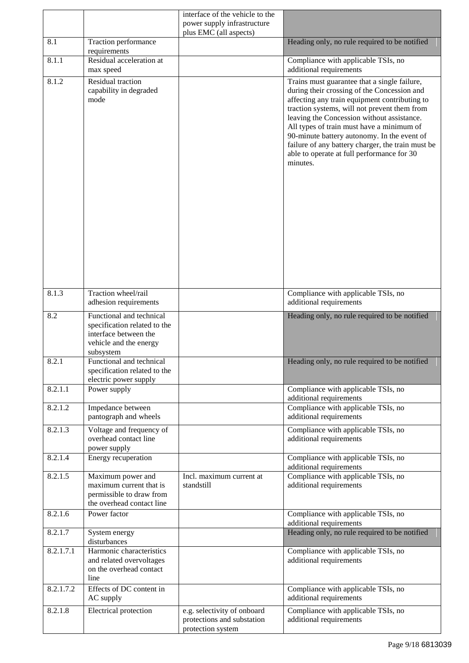|           |                                                                                                                          | interface of the vehicle to the                                                |                                                                                                                                                                                                                                                                                                                                                                                                                                                       |
|-----------|--------------------------------------------------------------------------------------------------------------------------|--------------------------------------------------------------------------------|-------------------------------------------------------------------------------------------------------------------------------------------------------------------------------------------------------------------------------------------------------------------------------------------------------------------------------------------------------------------------------------------------------------------------------------------------------|
|           |                                                                                                                          | power supply infrastructure<br>plus EMC (all aspects)                          |                                                                                                                                                                                                                                                                                                                                                                                                                                                       |
| 8.1       | Traction performance<br>requirements                                                                                     |                                                                                | Heading only, no rule required to be notified                                                                                                                                                                                                                                                                                                                                                                                                         |
| 8.1.1     | Residual acceleration at<br>max speed                                                                                    |                                                                                | Compliance with applicable TSIs, no<br>additional requirements                                                                                                                                                                                                                                                                                                                                                                                        |
| 8.1.2     | Residual traction<br>capability in degraded<br>mode                                                                      |                                                                                | Trains must guarantee that a single failure,<br>during their crossing of the Concession and<br>affecting any train equipment contributing to<br>traction systems, will not prevent them from<br>leaving the Concession without assistance.<br>All types of train must have a minimum of<br>90-minute battery autonomy. In the event of<br>failure of any battery charger, the train must be<br>able to operate at full performance for 30<br>minutes. |
| 8.1.3     | Traction wheel/rail<br>adhesion requirements                                                                             |                                                                                | Compliance with applicable TSIs, no<br>additional requirements                                                                                                                                                                                                                                                                                                                                                                                        |
| 8.2       | Functional and technical<br>specification related to the<br>interface between the<br>vehicle and the energy<br>subsystem |                                                                                | Heading only, no rule required to be notified                                                                                                                                                                                                                                                                                                                                                                                                         |
| 8.2.1     | Functional and technical<br>specification related to the<br>electric power supply                                        |                                                                                | Heading only, no rule required to be notified                                                                                                                                                                                                                                                                                                                                                                                                         |
| 8.2.1.1   | Power supply                                                                                                             |                                                                                | Compliance with applicable TSIs, no<br>additional requirements                                                                                                                                                                                                                                                                                                                                                                                        |
| 8.2.1.2   | Impedance between<br>pantograph and wheels                                                                               |                                                                                | Compliance with applicable TSIs, no<br>additional requirements                                                                                                                                                                                                                                                                                                                                                                                        |
| 8.2.1.3   | Voltage and frequency of<br>overhead contact line<br>power supply                                                        |                                                                                | Compliance with applicable TSIs, no<br>additional requirements                                                                                                                                                                                                                                                                                                                                                                                        |
| 8.2.1.4   | Energy recuperation                                                                                                      |                                                                                | Compliance with applicable TSIs, no<br>additional requirements                                                                                                                                                                                                                                                                                                                                                                                        |
| 8.2.1.5   | Maximum power and<br>maximum current that is<br>permissible to draw from<br>the overhead contact line                    | Incl. maximum current at<br>standstill                                         | Compliance with applicable TSIs, no<br>additional requirements                                                                                                                                                                                                                                                                                                                                                                                        |
| 8.2.1.6   | Power factor                                                                                                             |                                                                                | Compliance with applicable TSIs, no<br>additional requirements                                                                                                                                                                                                                                                                                                                                                                                        |
| 8.2.1.7   | System energy<br>disturbances                                                                                            |                                                                                | Heading only, no rule required to be notified                                                                                                                                                                                                                                                                                                                                                                                                         |
| 8.2.1.7.1 | Harmonic characteristics<br>and related overvoltages<br>on the overhead contact<br>line                                  |                                                                                | Compliance with applicable TSIs, no<br>additional requirements                                                                                                                                                                                                                                                                                                                                                                                        |
| 8.2.1.7.2 | Effects of DC content in<br>AC supply                                                                                    |                                                                                | Compliance with applicable TSIs, no<br>additional requirements                                                                                                                                                                                                                                                                                                                                                                                        |
| 8.2.1.8   | Electrical protection                                                                                                    | e.g. selectivity of onboard<br>protections and substation<br>protection system | Compliance with applicable TSIs, no<br>additional requirements                                                                                                                                                                                                                                                                                                                                                                                        |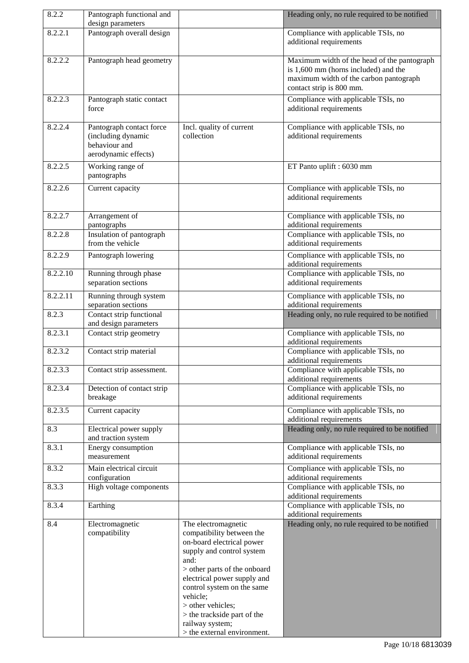| 8.2.2    | Pantograph functional and<br>design parameters                                          |                                                                                                                                                                                                                                                                                                                                   | Heading only, no rule required to be notified                                                                                                             |
|----------|-----------------------------------------------------------------------------------------|-----------------------------------------------------------------------------------------------------------------------------------------------------------------------------------------------------------------------------------------------------------------------------------------------------------------------------------|-----------------------------------------------------------------------------------------------------------------------------------------------------------|
| 8.2.2.1  | Pantograph overall design                                                               |                                                                                                                                                                                                                                                                                                                                   | Compliance with applicable TSIs, no                                                                                                                       |
|          |                                                                                         |                                                                                                                                                                                                                                                                                                                                   | additional requirements                                                                                                                                   |
| 8.2.2.2  | Pantograph head geometry                                                                |                                                                                                                                                                                                                                                                                                                                   | Maximum width of the head of the pantograph<br>is 1,600 mm (horns included) and the<br>maximum width of the carbon pantograph<br>contact strip is 800 mm. |
| 8.2.2.3  | Pantograph static contact<br>force                                                      |                                                                                                                                                                                                                                                                                                                                   | Compliance with applicable TSIs, no<br>additional requirements                                                                                            |
| 8.2.2.4  | Pantograph contact force<br>(including dynamic<br>behaviour and<br>aerodynamic effects) | Incl. quality of current<br>collection                                                                                                                                                                                                                                                                                            | Compliance with applicable TSIs, no<br>additional requirements                                                                                            |
| 8.2.2.5  | Working range of<br>pantographs                                                         |                                                                                                                                                                                                                                                                                                                                   | ET Panto uplift : 6030 mm                                                                                                                                 |
| 8.2.2.6  | Current capacity                                                                        |                                                                                                                                                                                                                                                                                                                                   | Compliance with applicable TSIs, no<br>additional requirements                                                                                            |
| 8.2.2.7  | Arrangement of<br>pantographs                                                           |                                                                                                                                                                                                                                                                                                                                   | Compliance with applicable TSIs, no<br>additional requirements                                                                                            |
| 8.2.2.8  | Insulation of pantograph<br>from the vehicle                                            |                                                                                                                                                                                                                                                                                                                                   | Compliance with applicable TSIs, no<br>additional requirements                                                                                            |
| 8.2.2.9  | Pantograph lowering                                                                     |                                                                                                                                                                                                                                                                                                                                   | Compliance with applicable TSIs, no<br>additional requirements                                                                                            |
| 8.2.2.10 | Running through phase<br>separation sections                                            |                                                                                                                                                                                                                                                                                                                                   | Compliance with applicable TSIs, no<br>additional requirements                                                                                            |
| 8.2.2.11 | Running through system<br>separation sections                                           |                                                                                                                                                                                                                                                                                                                                   | Compliance with applicable TSIs, no<br>additional requirements                                                                                            |
| 8.2.3    | Contact strip functional<br>and design parameters                                       |                                                                                                                                                                                                                                                                                                                                   | Heading only, no rule required to be notified                                                                                                             |
| 8.2.3.1  | Contact strip geometry                                                                  |                                                                                                                                                                                                                                                                                                                                   | Compliance with applicable TSIs, no<br>additional requirements                                                                                            |
| 8.2.3.2  | Contact strip material                                                                  |                                                                                                                                                                                                                                                                                                                                   | Compliance with applicable TSIs, no<br>additional requirements                                                                                            |
| 8.2.3.3  | Contact strip assessment.                                                               |                                                                                                                                                                                                                                                                                                                                   | Compliance with applicable TSIs, no<br>additional requirements                                                                                            |
| 8.2.3.4  | Detection of contact strip<br>breakage                                                  |                                                                                                                                                                                                                                                                                                                                   | Compliance with applicable TSIs, no<br>additional requirements                                                                                            |
| 8.2.3.5  | Current capacity                                                                        |                                                                                                                                                                                                                                                                                                                                   | Compliance with applicable TSIs, no<br>additional requirements                                                                                            |
| 8.3      | Electrical power supply<br>and traction system                                          |                                                                                                                                                                                                                                                                                                                                   | Heading only, no rule required to be notified                                                                                                             |
| 8.3.1    | Energy consumption<br>measurement                                                       |                                                                                                                                                                                                                                                                                                                                   | Compliance with applicable TSIs, no<br>additional requirements                                                                                            |
| 8.3.2    | Main electrical circuit<br>configuration                                                |                                                                                                                                                                                                                                                                                                                                   | Compliance with applicable TSIs, no<br>additional requirements                                                                                            |
| 8.3.3    | High voltage components                                                                 |                                                                                                                                                                                                                                                                                                                                   | Compliance with applicable TSIs, no<br>additional requirements                                                                                            |
| 8.3.4    | Earthing                                                                                |                                                                                                                                                                                                                                                                                                                                   | Compliance with applicable TSIs, no<br>additional requirements                                                                                            |
| 8.4      | Electromagnetic<br>compatibility                                                        | The electromagnetic<br>compatibility between the<br>on-board electrical power<br>supply and control system<br>and:<br>> other parts of the onboard<br>electrical power supply and<br>control system on the same<br>vehicle;<br>> other vehicles;<br>> the trackside part of the<br>railway system;<br>> the external environment. | Heading only, no rule required to be notified                                                                                                             |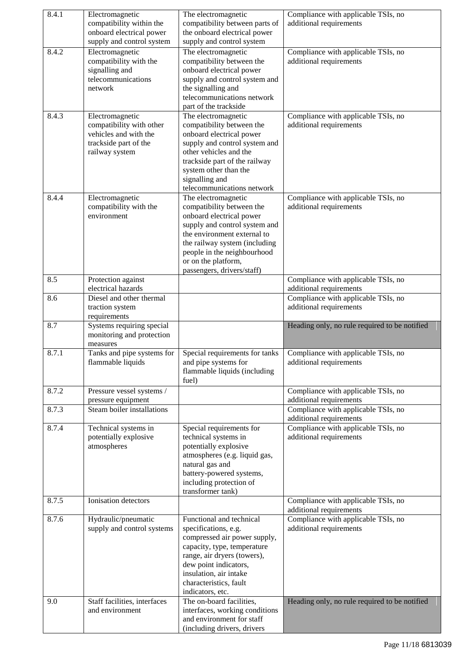| 8.4.1 | Electromagnetic                                             | The electromagnetic                                                          | Compliance with applicable TSIs, no                                                       |
|-------|-------------------------------------------------------------|------------------------------------------------------------------------------|-------------------------------------------------------------------------------------------|
|       | compatibility within the                                    | compatibility between parts of                                               | additional requirements                                                                   |
|       | onboard electrical power                                    | the onboard electrical power                                                 |                                                                                           |
|       | supply and control system                                   | supply and control system                                                    |                                                                                           |
| 8.4.2 | Electromagnetic<br>compatibility with the<br>signalling and | The electromagnetic<br>compatibility between the<br>onboard electrical power | Compliance with applicable TSIs, no<br>additional requirements                            |
|       | telecommunications                                          | supply and control system and                                                |                                                                                           |
|       | network                                                     | the signalling and                                                           |                                                                                           |
|       |                                                             | telecommunications network                                                   |                                                                                           |
|       |                                                             | part of the trackside                                                        |                                                                                           |
| 8.4.3 | Electromagnetic                                             | The electromagnetic                                                          | Compliance with applicable TSIs, no                                                       |
|       | compatibility with other<br>vehicles and with the           | compatibility between the<br>onboard electrical power                        | additional requirements                                                                   |
|       | trackside part of the                                       | supply and control system and                                                |                                                                                           |
|       | railway system                                              | other vehicles and the                                                       |                                                                                           |
|       |                                                             | trackside part of the railway                                                |                                                                                           |
|       |                                                             | system other than the                                                        |                                                                                           |
|       |                                                             | signalling and<br>telecommunications network                                 |                                                                                           |
| 8.4.4 | Electromagnetic                                             | The electromagnetic                                                          | Compliance with applicable TSIs, no                                                       |
|       | compatibility with the                                      | compatibility between the                                                    | additional requirements                                                                   |
|       | environment                                                 | onboard electrical power                                                     |                                                                                           |
|       |                                                             | supply and control system and                                                |                                                                                           |
|       |                                                             | the environment external to                                                  |                                                                                           |
|       |                                                             | the railway system (including<br>people in the neighbourhood                 |                                                                                           |
|       |                                                             | or on the platform,                                                          |                                                                                           |
|       |                                                             | passengers, drivers/staff)                                                   |                                                                                           |
| 8.5   | Protection against                                          |                                                                              | Compliance with applicable TSIs, no                                                       |
|       | electrical hazards                                          |                                                                              | additional requirements                                                                   |
| 8.6   | Diesel and other thermal<br>traction system                 |                                                                              | Compliance with applicable TSIs, no<br>additional requirements                            |
|       | requirements                                                |                                                                              |                                                                                           |
| 8.7   | Systems requiring special                                   |                                                                              |                                                                                           |
|       |                                                             |                                                                              |                                                                                           |
|       | monitoring and protection<br>measures                       |                                                                              | Heading only, no rule required to be notified                                             |
| 8.7.1 | Tanks and pipe systems for                                  | Special requirements for tanks                                               | Compliance with applicable TSIs, no                                                       |
|       | flammable liquids                                           | and pipe systems for                                                         | additional requirements                                                                   |
|       |                                                             | flammable liquids (including                                                 |                                                                                           |
|       |                                                             | fuel)                                                                        |                                                                                           |
| 8.7.2 | Pressure vessel systems /                                   |                                                                              | Compliance with applicable TSIs, no                                                       |
| 8.7.3 | pressure equipment<br>Steam boiler installations            |                                                                              | additional requirements<br>Compliance with applicable TSIs, no<br>additional requirements |
| 8.7.4 | Technical systems in                                        | Special requirements for                                                     | Compliance with applicable TSIs, no                                                       |
|       | potentially explosive                                       | technical systems in                                                         | additional requirements                                                                   |
|       | atmospheres                                                 | potentially explosive                                                        |                                                                                           |
|       |                                                             | atmospheres (e.g. liquid gas,<br>natural gas and                             |                                                                                           |
|       |                                                             | battery-powered systems,                                                     |                                                                                           |
|       |                                                             | including protection of                                                      |                                                                                           |
|       |                                                             | transformer tank)                                                            |                                                                                           |
| 8.7.5 | Ionisation detectors                                        |                                                                              | Compliance with applicable TSIs, no                                                       |
| 8.7.6 | Hydraulic/pneumatic                                         | Functional and technical                                                     | additional requirements<br>Compliance with applicable TSIs, no                            |
|       | supply and control systems                                  | specifications, e.g.                                                         | additional requirements                                                                   |
|       |                                                             | compressed air power supply,                                                 |                                                                                           |
|       |                                                             | capacity, type, temperature                                                  |                                                                                           |
|       |                                                             | range, air dryers (towers),                                                  |                                                                                           |
|       |                                                             | dew point indicators,<br>insulation, air intake                              |                                                                                           |
|       |                                                             | characteristics, fault                                                       |                                                                                           |
|       |                                                             | indicators, etc.                                                             |                                                                                           |
| 9.0   | Staff facilities, interfaces                                | The on-board facilities,                                                     | Heading only, no rule required to be notified                                             |
|       | and environment                                             | interfaces, working conditions<br>and environment for staff                  |                                                                                           |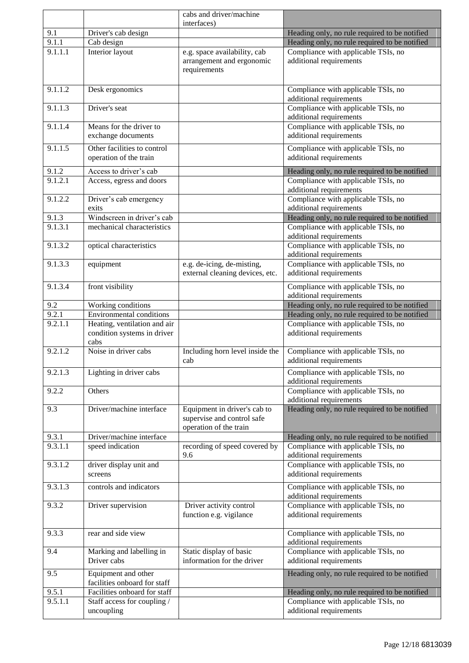|         |                                                                     | cabs and driver/machine                                                              |                                                                |
|---------|---------------------------------------------------------------------|--------------------------------------------------------------------------------------|----------------------------------------------------------------|
|         |                                                                     | interfaces)                                                                          |                                                                |
| 9.1     | Driver's cab design                                                 |                                                                                      | Heading only, no rule required to be notified                  |
| 9.1.1   | Cab design                                                          |                                                                                      | Heading only, no rule required to be notified                  |
| 9.1.1.1 | Interior layout                                                     | e.g. space availability, cab<br>arrangement and ergonomic<br>requirements            | Compliance with applicable TSIs, no<br>additional requirements |
| 9.1.1.2 | Desk ergonomics                                                     |                                                                                      | Compliance with applicable TSIs, no<br>additional requirements |
| 9.1.1.3 | Driver's seat                                                       |                                                                                      | Compliance with applicable TSIs, no<br>additional requirements |
| 9.1.1.4 | Means for the driver to<br>exchange documents                       |                                                                                      | Compliance with applicable TSIs, no<br>additional requirements |
| 9.1.1.5 | Other facilities to control<br>operation of the train               |                                                                                      | Compliance with applicable TSIs, no<br>additional requirements |
| 9.1.2   | Access to driver's cab                                              |                                                                                      | Heading only, no rule required to be notified                  |
| 9.1.2.1 | Access, egress and doors                                            |                                                                                      | Compliance with applicable TSIs, no<br>additional requirements |
| 9.1.2.2 | Driver's cab emergency<br>exits                                     |                                                                                      | Compliance with applicable TSIs, no<br>additional requirements |
| 9.1.3   | Windscreen in driver's cab                                          |                                                                                      | Heading only, no rule required to be notified                  |
| 9.1.3.1 | mechanical characteristics                                          |                                                                                      | Compliance with applicable TSIs, no<br>additional requirements |
| 9.1.3.2 | optical characteristics                                             |                                                                                      | Compliance with applicable TSIs, no<br>additional requirements |
| 9.1.3.3 | equipment                                                           | e.g. de-icing, de-misting,<br>external cleaning devices, etc.                        | Compliance with applicable TSIs, no<br>additional requirements |
| 9.1.3.4 | front visibility                                                    |                                                                                      | Compliance with applicable TSIs, no<br>additional requirements |
| 9.2     | Working conditions                                                  |                                                                                      | Heading only, no rule required to be notified                  |
| 9.2.1   | <b>Environmental conditions</b>                                     |                                                                                      | Heading only, no rule required to be notified                  |
| 9.2.1.1 | Heating, ventilation and air<br>condition systems in driver<br>cabs |                                                                                      | Compliance with applicable TSIs, no<br>additional requirements |
| 9.2.1.2 | Noise in driver cabs                                                | Including horn level inside the<br>cab                                               | Compliance with applicable TSIs, no<br>additional requirements |
| 9.2.1.3 | Lighting in driver cabs                                             |                                                                                      | Compliance with applicable TSIs, no<br>additional requirements |
| 9.2.2   | Others                                                              |                                                                                      | Compliance with applicable TSIs, no<br>additional requirements |
| 9.3     | Driver/machine interface                                            | Equipment in driver's cab to<br>supervise and control safe<br>operation of the train | Heading only, no rule required to be notified                  |
| 9.3.1   | Driver/machine interface                                            |                                                                                      | Heading only, no rule required to be notified                  |
| 9.3.1.1 | speed indication                                                    | recording of speed covered by<br>9.6                                                 | Compliance with applicable TSIs, no<br>additional requirements |
| 9.3.1.2 | driver display unit and<br>screens                                  |                                                                                      | Compliance with applicable TSIs, no<br>additional requirements |
| 9.3.1.3 | controls and indicators                                             |                                                                                      | Compliance with applicable TSIs, no<br>additional requirements |
| 9.3.2   | Driver supervision                                                  | Driver activity control<br>function e.g. vigilance                                   | Compliance with applicable TSIs, no<br>additional requirements |
| 9.3.3   | rear and side view                                                  |                                                                                      | Compliance with applicable TSIs, no<br>additional requirements |
| 9.4     | Marking and labelling in<br>Driver cabs                             | Static display of basic<br>information for the driver                                | Compliance with applicable TSIs, no<br>additional requirements |
| 9.5     | Equipment and other<br>facilities onboard for staff                 |                                                                                      | Heading only, no rule required to be notified                  |
| 9.5.1   | Facilities onboard for staff                                        |                                                                                      | Heading only, no rule required to be notified                  |
| 9.5.1.1 | Staff access for coupling /<br>uncoupling                           |                                                                                      | Compliance with applicable TSIs, no<br>additional requirements |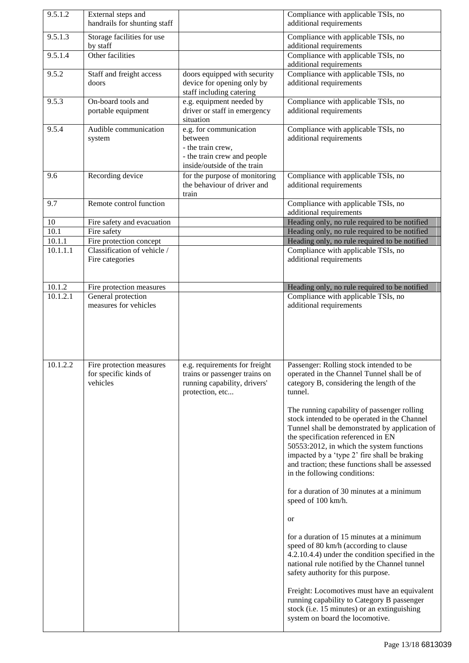| 9.5.1.2  | External steps and<br>handrails for shunting staff            |                                                                                                                      | Compliance with applicable TSIs, no<br>additional requirements                                                                                                                                                                                                                                                                                                                                                                                                                                                                                                                                                                                                                                                                                                                                                                                                                                                                                                                                                |
|----------|---------------------------------------------------------------|----------------------------------------------------------------------------------------------------------------------|---------------------------------------------------------------------------------------------------------------------------------------------------------------------------------------------------------------------------------------------------------------------------------------------------------------------------------------------------------------------------------------------------------------------------------------------------------------------------------------------------------------------------------------------------------------------------------------------------------------------------------------------------------------------------------------------------------------------------------------------------------------------------------------------------------------------------------------------------------------------------------------------------------------------------------------------------------------------------------------------------------------|
| 9.5.1.3  | Storage facilities for use<br>by staff                        |                                                                                                                      | Compliance with applicable TSIs, no<br>additional requirements                                                                                                                                                                                                                                                                                                                                                                                                                                                                                                                                                                                                                                                                                                                                                                                                                                                                                                                                                |
| 9.5.1.4  | Other facilities                                              |                                                                                                                      | Compliance with applicable TSIs, no<br>additional requirements                                                                                                                                                                                                                                                                                                                                                                                                                                                                                                                                                                                                                                                                                                                                                                                                                                                                                                                                                |
| 9.5.2    | Staff and freight access<br>doors                             | doors equipped with security<br>device for opening only by<br>staff including catering                               | Compliance with applicable TSIs, no<br>additional requirements                                                                                                                                                                                                                                                                                                                                                                                                                                                                                                                                                                                                                                                                                                                                                                                                                                                                                                                                                |
| 9.5.3    | On-board tools and<br>portable equipment                      | e.g. equipment needed by<br>driver or staff in emergency<br>situation                                                | Compliance with applicable TSIs, no<br>additional requirements                                                                                                                                                                                                                                                                                                                                                                                                                                                                                                                                                                                                                                                                                                                                                                                                                                                                                                                                                |
| 9.5.4    | Audible communication<br>system                               | e.g. for communication<br>between<br>- the train crew,<br>- the train crew and people<br>inside/outside of the train | Compliance with applicable TSIs, no<br>additional requirements                                                                                                                                                                                                                                                                                                                                                                                                                                                                                                                                                                                                                                                                                                                                                                                                                                                                                                                                                |
| 9.6      | Recording device                                              | for the purpose of monitoring<br>the behaviour of driver and<br>train                                                | Compliance with applicable TSIs, no<br>additional requirements                                                                                                                                                                                                                                                                                                                                                                                                                                                                                                                                                                                                                                                                                                                                                                                                                                                                                                                                                |
| 9.7      | Remote control function                                       |                                                                                                                      | Compliance with applicable TSIs, no<br>additional requirements                                                                                                                                                                                                                                                                                                                                                                                                                                                                                                                                                                                                                                                                                                                                                                                                                                                                                                                                                |
| 10       | Fire safety and evacuation                                    |                                                                                                                      | Heading only, no rule required to be notified                                                                                                                                                                                                                                                                                                                                                                                                                                                                                                                                                                                                                                                                                                                                                                                                                                                                                                                                                                 |
| 10.1     | Fire safety                                                   |                                                                                                                      | Heading only, no rule required to be notified                                                                                                                                                                                                                                                                                                                                                                                                                                                                                                                                                                                                                                                                                                                                                                                                                                                                                                                                                                 |
| 10.1.1   | Fire protection concept                                       |                                                                                                                      | Heading only, no rule required to be notified                                                                                                                                                                                                                                                                                                                                                                                                                                                                                                                                                                                                                                                                                                                                                                                                                                                                                                                                                                 |
| 10.1.1.1 | Classification of vehicle /<br>Fire categories                |                                                                                                                      | Compliance with applicable TSIs, no<br>additional requirements                                                                                                                                                                                                                                                                                                                                                                                                                                                                                                                                                                                                                                                                                                                                                                                                                                                                                                                                                |
| 10.1.2   | Fire protection measures                                      |                                                                                                                      | Heading only, no rule required to be notified                                                                                                                                                                                                                                                                                                                                                                                                                                                                                                                                                                                                                                                                                                                                                                                                                                                                                                                                                                 |
| 10.1.2.1 | General protection<br>measures for vehicles                   |                                                                                                                      | Compliance with applicable TSIs, no<br>additional requirements                                                                                                                                                                                                                                                                                                                                                                                                                                                                                                                                                                                                                                                                                                                                                                                                                                                                                                                                                |
| 10.1.2.2 | Fire protection measures<br>for specific kinds of<br>vehicles | e.g. requirements for freight<br>trains or passenger trains on<br>running capability, drivers'<br>protection, etc    | Passenger: Rolling stock intended to be<br>operated in the Channel Tunnel shall be of<br>category B, considering the length of the<br>tunnel.<br>The running capability of passenger rolling<br>stock intended to be operated in the Channel<br>Tunnel shall be demonstrated by application of<br>the specification referenced in EN<br>50553:2012, in which the system functions<br>impacted by a 'type 2' fire shall be braking<br>and traction; these functions shall be assessed<br>in the following conditions:<br>for a duration of 30 minutes at a minimum<br>speed of 100 km/h.<br>or<br>for a duration of 15 minutes at a minimum<br>speed of 80 km/h (according to clause<br>4.2.10.4.4) under the condition specified in the<br>national rule notified by the Channel tunnel<br>safety authority for this purpose.<br>Freight: Locomotives must have an equivalent<br>running capability to Category B passenger<br>stock (i.e. 15 minutes) or an extinguishing<br>system on board the locomotive. |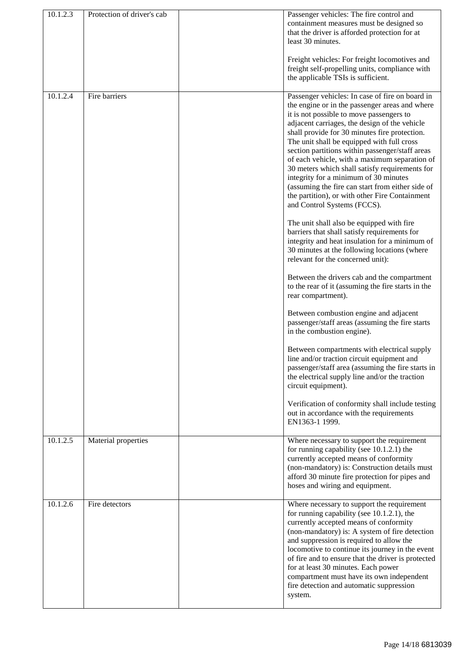| 10.1.2.3 | Protection of driver's cab | Passenger vehicles: The fire control and<br>containment measures must be designed so<br>that the driver is afforded protection for at<br>least 30 minutes.<br>Freight vehicles: For freight locomotives and<br>freight self-propelling units, compliance with<br>the applicable TSIs is sufficient.                                                                                                                                                                                                                                                                                                                                                                            |
|----------|----------------------------|--------------------------------------------------------------------------------------------------------------------------------------------------------------------------------------------------------------------------------------------------------------------------------------------------------------------------------------------------------------------------------------------------------------------------------------------------------------------------------------------------------------------------------------------------------------------------------------------------------------------------------------------------------------------------------|
| 10.1.2.4 | Fire barriers              | Passenger vehicles: In case of fire on board in<br>the engine or in the passenger areas and where<br>it is not possible to move passengers to<br>adjacent carriages, the design of the vehicle<br>shall provide for 30 minutes fire protection.<br>The unit shall be equipped with full cross<br>section partitions within passenger/staff areas<br>of each vehicle, with a maximum separation of<br>30 meters which shall satisfy requirements for<br>integrity for a minimum of 30 minutes<br>(assuming the fire can start from either side of<br>the partition), or with other Fire Containment<br>and Control Systems (FCCS).<br>The unit shall also be equipped with fire |
|          |                            | barriers that shall satisfy requirements for<br>integrity and heat insulation for a minimum of<br>30 minutes at the following locations (where<br>relevant for the concerned unit):<br>Between the drivers cab and the compartment                                                                                                                                                                                                                                                                                                                                                                                                                                             |
|          |                            | to the rear of it (assuming the fire starts in the<br>rear compartment).                                                                                                                                                                                                                                                                                                                                                                                                                                                                                                                                                                                                       |
|          |                            | Between combustion engine and adjacent<br>passenger/staff areas (assuming the fire starts<br>in the combustion engine).                                                                                                                                                                                                                                                                                                                                                                                                                                                                                                                                                        |
|          |                            | Between compartments with electrical supply<br>line and/or traction circuit equipment and<br>passenger/staff area (assuming the fire starts in<br>the electrical supply line and/or the traction<br>circuit equipment).                                                                                                                                                                                                                                                                                                                                                                                                                                                        |
|          |                            | Verification of conformity shall include testing<br>out in accordance with the requirements<br>EN1363-1 1999.                                                                                                                                                                                                                                                                                                                                                                                                                                                                                                                                                                  |
| 10.1.2.5 | Material properties        | Where necessary to support the requirement<br>for running capability (see $10.1.2.1$ ) the<br>currently accepted means of conformity<br>(non-mandatory) is: Construction details must<br>afford 30 minute fire protection for pipes and<br>hoses and wiring and equipment.                                                                                                                                                                                                                                                                                                                                                                                                     |
| 10.1.2.6 | Fire detectors             | Where necessary to support the requirement<br>for running capability (see $10.1.2.1$ ), the<br>currently accepted means of conformity<br>(non-mandatory) is: A system of fire detection<br>and suppression is required to allow the<br>locomotive to continue its journey in the event<br>of fire and to ensure that the driver is protected<br>for at least 30 minutes. Each power<br>compartment must have its own independent<br>fire detection and automatic suppression<br>system.                                                                                                                                                                                        |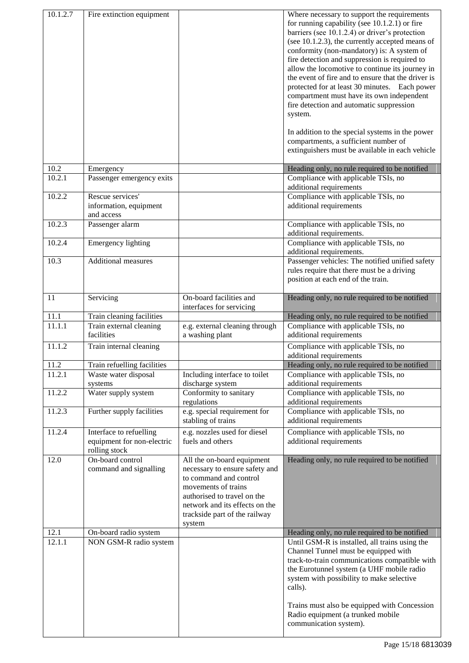| 10.1.2.7 | Fire extinction equipment                                              |                                                                                                                                                                                                                           | Where necessary to support the requirements<br>for running capability (see $10.1.2.1$ ) or fire<br>barriers (see 10.1.2.4) or driver's protection<br>(see 10.1.2.3), the currently accepted means of<br>conformity (non-mandatory) is: A system of<br>fire detection and suppression is required to<br>allow the locomotive to continue its journey in<br>the event of fire and to ensure that the driver is<br>protected for at least 30 minutes. Each power<br>compartment must have its own independent<br>fire detection and automatic suppression<br>system.<br>In addition to the special systems in the power<br>compartments, a sufficient number of<br>extinguishers must be available in each vehicle |
|----------|------------------------------------------------------------------------|---------------------------------------------------------------------------------------------------------------------------------------------------------------------------------------------------------------------------|-----------------------------------------------------------------------------------------------------------------------------------------------------------------------------------------------------------------------------------------------------------------------------------------------------------------------------------------------------------------------------------------------------------------------------------------------------------------------------------------------------------------------------------------------------------------------------------------------------------------------------------------------------------------------------------------------------------------|
| 10.2     | Emergency                                                              |                                                                                                                                                                                                                           | Heading only, no rule required to be notified                                                                                                                                                                                                                                                                                                                                                                                                                                                                                                                                                                                                                                                                   |
| 10.2.1   | Passenger emergency exits                                              |                                                                                                                                                                                                                           | Compliance with applicable TSIs, no<br>additional requirements                                                                                                                                                                                                                                                                                                                                                                                                                                                                                                                                                                                                                                                  |
| 10.2.2   | Rescue services'<br>information, equipment<br>and access               |                                                                                                                                                                                                                           | Compliance with applicable TSIs, no<br>additional requirements                                                                                                                                                                                                                                                                                                                                                                                                                                                                                                                                                                                                                                                  |
| 10.2.3   | Passenger alarm                                                        |                                                                                                                                                                                                                           | Compliance with applicable TSIs, no                                                                                                                                                                                                                                                                                                                                                                                                                                                                                                                                                                                                                                                                             |
| 10.2.4   | Emergency lighting                                                     |                                                                                                                                                                                                                           | additional requirements.<br>Compliance with applicable TSIs, no<br>additional requirements.                                                                                                                                                                                                                                                                                                                                                                                                                                                                                                                                                                                                                     |
| 10.3     | <b>Additional measures</b>                                             |                                                                                                                                                                                                                           | Passenger vehicles: The notified unified safety<br>rules require that there must be a driving<br>position at each end of the train.                                                                                                                                                                                                                                                                                                                                                                                                                                                                                                                                                                             |
| 11       | Servicing                                                              | On-board facilities and<br>interfaces for servicing                                                                                                                                                                       | Heading only, no rule required to be notified                                                                                                                                                                                                                                                                                                                                                                                                                                                                                                                                                                                                                                                                   |
| 11.1     | Train cleaning facilities                                              |                                                                                                                                                                                                                           | Heading only, no rule required to be notified                                                                                                                                                                                                                                                                                                                                                                                                                                                                                                                                                                                                                                                                   |
| 11.1.1   | Train external cleaning<br>facilities                                  | e.g. external cleaning through<br>a washing plant                                                                                                                                                                         | Compliance with applicable TSIs, no<br>additional requirements                                                                                                                                                                                                                                                                                                                                                                                                                                                                                                                                                                                                                                                  |
| 11.1.2   | Train internal cleaning                                                |                                                                                                                                                                                                                           | Compliance with applicable TSIs, no<br>additional requirements                                                                                                                                                                                                                                                                                                                                                                                                                                                                                                                                                                                                                                                  |
| 11.2     | Train refuelling facilities                                            |                                                                                                                                                                                                                           | Heading only, no rule required to be notified                                                                                                                                                                                                                                                                                                                                                                                                                                                                                                                                                                                                                                                                   |
| 11.2.1   | Waste water disposal<br>systems                                        | Including interface to toilet<br>discharge system                                                                                                                                                                         | Compliance with applicable TSIs, no<br>additional requirements                                                                                                                                                                                                                                                                                                                                                                                                                                                                                                                                                                                                                                                  |
| 11.2.2   | Water supply system                                                    | Conformity to sanitary<br>regulations                                                                                                                                                                                     | Compliance with applicable TSIs, no<br>additional requirements                                                                                                                                                                                                                                                                                                                                                                                                                                                                                                                                                                                                                                                  |
| 11.2.3   | Further supply facilities                                              | e.g. special requirement for<br>stabling of trains                                                                                                                                                                        | Compliance with applicable TSIs, no<br>additional requirements                                                                                                                                                                                                                                                                                                                                                                                                                                                                                                                                                                                                                                                  |
| 11.2.4   | Interface to refuelling<br>equipment for non-electric<br>rolling stock | e.g. nozzles used for diesel<br>fuels and others                                                                                                                                                                          | Compliance with applicable TSIs, no<br>additional requirements                                                                                                                                                                                                                                                                                                                                                                                                                                                                                                                                                                                                                                                  |
| 12.0     | On-board control<br>command and signalling                             | All the on-board equipment<br>necessary to ensure safety and<br>to command and control<br>movements of trains<br>authorised to travel on the<br>network and its effects on the<br>trackside part of the railway<br>system | Heading only, no rule required to be notified                                                                                                                                                                                                                                                                                                                                                                                                                                                                                                                                                                                                                                                                   |
| 12.1     | On-board radio system                                                  |                                                                                                                                                                                                                           | Heading only, no rule required to be notified                                                                                                                                                                                                                                                                                                                                                                                                                                                                                                                                                                                                                                                                   |
| 12.1.1   | NON GSM-R radio system                                                 |                                                                                                                                                                                                                           | Until GSM-R is installed, all trains using the<br>Channel Tunnel must be equipped with<br>track-to-train communications compatible with<br>the Eurotunnel system (a UHF mobile radio<br>system with possibility to make selective<br>calls).<br>Trains must also be equipped with Concession                                                                                                                                                                                                                                                                                                                                                                                                                    |
|          |                                                                        |                                                                                                                                                                                                                           | Radio equipment (a trunked mobile<br>communication system).                                                                                                                                                                                                                                                                                                                                                                                                                                                                                                                                                                                                                                                     |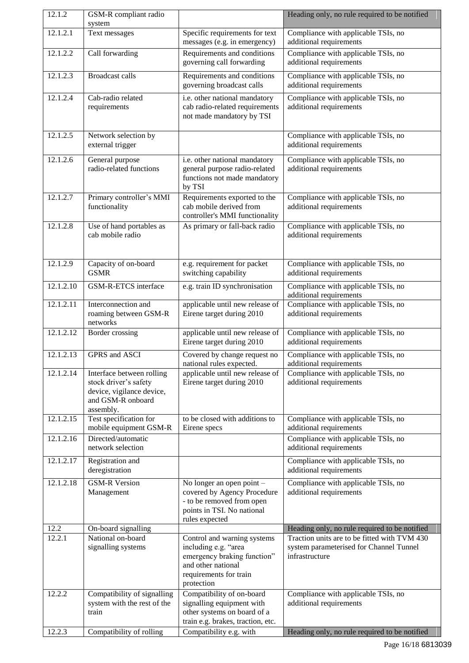| 12.1.2    | GSM-R compliant radio<br>system                                                                                   |                                                                                                                                                  | Heading only, no rule required to be notified                                                             |
|-----------|-------------------------------------------------------------------------------------------------------------------|--------------------------------------------------------------------------------------------------------------------------------------------------|-----------------------------------------------------------------------------------------------------------|
| 12.1.2.1  | Text messages                                                                                                     | Specific requirements for text<br>messages (e.g. in emergency)                                                                                   | Compliance with applicable TSIs, no<br>additional requirements                                            |
| 12.1.2.2  | Call forwarding                                                                                                   | Requirements and conditions<br>governing call forwarding                                                                                         | Compliance with applicable TSIs, no<br>additional requirements                                            |
| 12.1.2.3  | <b>Broadcast calls</b>                                                                                            | Requirements and conditions<br>governing broadcast calls                                                                                         | Compliance with applicable TSIs, no<br>additional requirements                                            |
| 12.1.2.4  | Cab-radio related<br>requirements                                                                                 | i.e. other national mandatory<br>cab radio-related requirements<br>not made mandatory by TSI                                                     | Compliance with applicable TSIs, no<br>additional requirements                                            |
| 12.1.2.5  | Network selection by<br>external trigger                                                                          |                                                                                                                                                  | Compliance with applicable TSIs, no<br>additional requirements                                            |
| 12.1.2.6  | General purpose<br>radio-related functions                                                                        | i.e. other national mandatory<br>general purpose radio-related<br>functions not made mandatory<br>by TSI                                         | Compliance with applicable TSIs, no<br>additional requirements                                            |
| 12.1.2.7  | Primary controller's MMI<br>functionality                                                                         | Requirements exported to the<br>cab mobile derived from<br>controller's MMI functionality                                                        | Compliance with applicable TSIs, no<br>additional requirements                                            |
| 12.1.2.8  | Use of hand portables as<br>cab mobile radio                                                                      | As primary or fall-back radio                                                                                                                    | Compliance with applicable TSIs, no<br>additional requirements                                            |
| 12.1.2.9  | Capacity of on-board<br><b>GSMR</b>                                                                               | e.g. requirement for packet<br>switching capability                                                                                              | Compliance with applicable TSIs, no<br>additional requirements                                            |
| 12.1.2.10 | GSM-R-ETCS interface                                                                                              | e.g. train ID synchronisation                                                                                                                    | Compliance with applicable TSIs, no<br>additional requirements                                            |
| 12.1.2.11 | Interconnection and<br>roaming between GSM-R<br>networks                                                          | applicable until new release of<br>Eirene target during 2010                                                                                     | Compliance with applicable TSIs, no<br>additional requirements                                            |
| 12.1.2.12 | Border crossing                                                                                                   | applicable until new release of<br>Eirene target during 2010                                                                                     | Compliance with applicable TSIs, no<br>additional requirements                                            |
| 12.1.2.13 | GPRS and ASCI                                                                                                     | Covered by change request no<br>national rules expected.                                                                                         | Compliance with applicable TSIs, no<br>additional requirements                                            |
| 12.1.2.14 | Interface between rolling<br>stock driver's safety<br>device, vigilance device,<br>and GSM-R onboard<br>assembly. | applicable until new release of<br>Eirene target during 2010                                                                                     | Compliance with applicable TSIs, no<br>additional requirements                                            |
| 12.1.2.15 | Test specification for<br>mobile equipment GSM-R                                                                  | to be closed with additions to<br>Eirene specs                                                                                                   | Compliance with applicable TSIs, no<br>additional requirements                                            |
| 12.1.2.16 | Directed/automatic<br>network selection                                                                           |                                                                                                                                                  | Compliance with applicable TSIs, no<br>additional requirements                                            |
| 12.1.2.17 | Registration and<br>deregistration                                                                                |                                                                                                                                                  | Compliance with applicable TSIs, no<br>additional requirements                                            |
| 12.1.2.18 | <b>GSM-R Version</b><br>Management                                                                                | No longer an open point -<br>covered by Agency Procedure<br>- to be removed from open<br>points in TSI. No national<br>rules expected            | Compliance with applicable TSIs, no<br>additional requirements                                            |
| 12.2      | On-board signalling                                                                                               |                                                                                                                                                  | Heading only, no rule required to be notified                                                             |
| 12.2.1    | National on-board<br>signalling systems                                                                           | Control and warning systems<br>including e.g. "area<br>emergency braking function"<br>and other national<br>requirements for train<br>protection | Traction units are to be fitted with TVM 430<br>system parameterised for Channel Tunnel<br>infrastructure |
| 12.2.2    | Compatibility of signalling<br>system with the rest of the<br>train                                               | Compatibility of on-board<br>signalling equipment with<br>other systems on board of a<br>train e.g. brakes, traction, etc.                       | Compliance with applicable TSIs, no<br>additional requirements                                            |
| 12.2.3    | Compatibility of rolling                                                                                          | Compatibility e.g. with                                                                                                                          | Heading only, no rule required to be notified                                                             |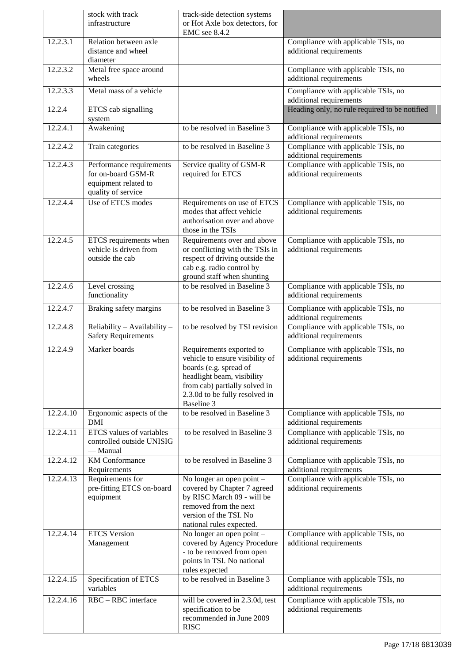|                        | stock with track<br>infrastructure                                                           | track-side detection systems<br>or Hot Axle box detectors, for                                                                                                                                       |                                                                |
|------------------------|----------------------------------------------------------------------------------------------|------------------------------------------------------------------------------------------------------------------------------------------------------------------------------------------------------|----------------------------------------------------------------|
|                        |                                                                                              | EMC see 8.4.2                                                                                                                                                                                        |                                                                |
| 12.2.3.1               | Relation between axle<br>distance and wheel<br>diameter                                      |                                                                                                                                                                                                      | Compliance with applicable TSIs, no<br>additional requirements |
| 12.2.3.2               | Metal free space around<br>wheels                                                            |                                                                                                                                                                                                      | Compliance with applicable TSIs, no<br>additional requirements |
| 12.2.3.3               | Metal mass of a vehicle                                                                      |                                                                                                                                                                                                      | Compliance with applicable TSIs, no<br>additional requirements |
| 12.2.4                 | ETCS cab signalling<br>system                                                                |                                                                                                                                                                                                      | Heading only, no rule required to be notified                  |
| 12.2.4.1               | Awakening                                                                                    | to be resolved in Baseline 3                                                                                                                                                                         | Compliance with applicable TSIs, no<br>additional requirements |
| 12.2.4.2               | Train categories                                                                             | to be resolved in Baseline 3                                                                                                                                                                         | Compliance with applicable TSIs, no<br>additional requirements |
| 12.2.4.3               | Performance requirements<br>for on-board GSM-R<br>equipment related to<br>quality of service | Service quality of GSM-R<br>required for ETCS                                                                                                                                                        | Compliance with applicable TSIs, no<br>additional requirements |
| 12.2.4.4               | Use of ETCS modes                                                                            | Requirements on use of ETCS<br>modes that affect vehicle<br>authorisation over and above<br>those in the TSIs                                                                                        | Compliance with applicable TSIs, no<br>additional requirements |
| 12.2.4.5               | ETCS requirements when<br>vehicle is driven from<br>outside the cab                          | Requirements over and above<br>or conflicting with the TSIs in<br>respect of driving outside the<br>cab e.g. radio control by<br>ground staff when shunting                                          | Compliance with applicable TSIs, no<br>additional requirements |
| 12.2.4.6               | Level crossing<br>functionality                                                              | to be resolved in Baseline 3                                                                                                                                                                         | Compliance with applicable TSIs, no<br>additional requirements |
| 12.2.4.7               | Braking safety margins                                                                       | to be resolved in Baseline 3                                                                                                                                                                         | Compliance with applicable TSIs, no<br>additional requirements |
| 12.2.4.8               | Reliability - Availability -<br><b>Safety Requirements</b>                                   | to be resolved by TSI revision                                                                                                                                                                       | Compliance with applicable TSIs, no<br>additional requirements |
| 12.2.4.9               | Marker boards                                                                                | Requirements exported to<br>vehicle to ensure visibility of<br>boards (e.g. spread of<br>headlight beam, visibility<br>from cab) partially solved in<br>2.3.0d to be fully resolved in<br>Baseline 3 | Compliance with applicable TSIs, no<br>additional requirements |
| 12.2.4.10              | Ergonomic aspects of the<br>DMI                                                              | to be resolved in Baseline 3                                                                                                                                                                         | Compliance with applicable TSIs, no<br>additional requirements |
| 12.2.4.11              | <b>ETCS</b> values of variables<br>controlled outside UNISIG<br>— Manual                     | to be resolved in Baseline 3                                                                                                                                                                         | Compliance with applicable TSIs, no<br>additional requirements |
| $12.2.4.\overline{12}$ | <b>KM</b> Conformance<br>Requirements                                                        | to be resolved in Baseline 3                                                                                                                                                                         | Compliance with applicable TSIs, no<br>additional requirements |
| 12.2.4.13              | Requirements for<br>pre-fitting ETCS on-board<br>equipment                                   | No longer an open point -<br>covered by Chapter 7 agreed<br>by RISC March 09 - will be<br>removed from the next<br>version of the TSI. No<br>national rules expected.                                | Compliance with applicable TSIs, no<br>additional requirements |
| 12.2.4.14              | <b>ETCS</b> Version<br>Management                                                            | No longer an open point -<br>covered by Agency Procedure<br>- to be removed from open<br>points in TSI. No national<br>rules expected                                                                | Compliance with applicable TSIs, no<br>additional requirements |
| 12.2.4.15              | Specification of ETCS<br>variables                                                           | to be resolved in Baseline 3                                                                                                                                                                         | Compliance with applicable TSIs, no<br>additional requirements |
| 12.2.4.16              | RBC - RBC interface                                                                          | will be covered in 2.3.0d, test<br>specification to be<br>recommended in June 2009<br><b>RISC</b>                                                                                                    | Compliance with applicable TSIs, no<br>additional requirements |